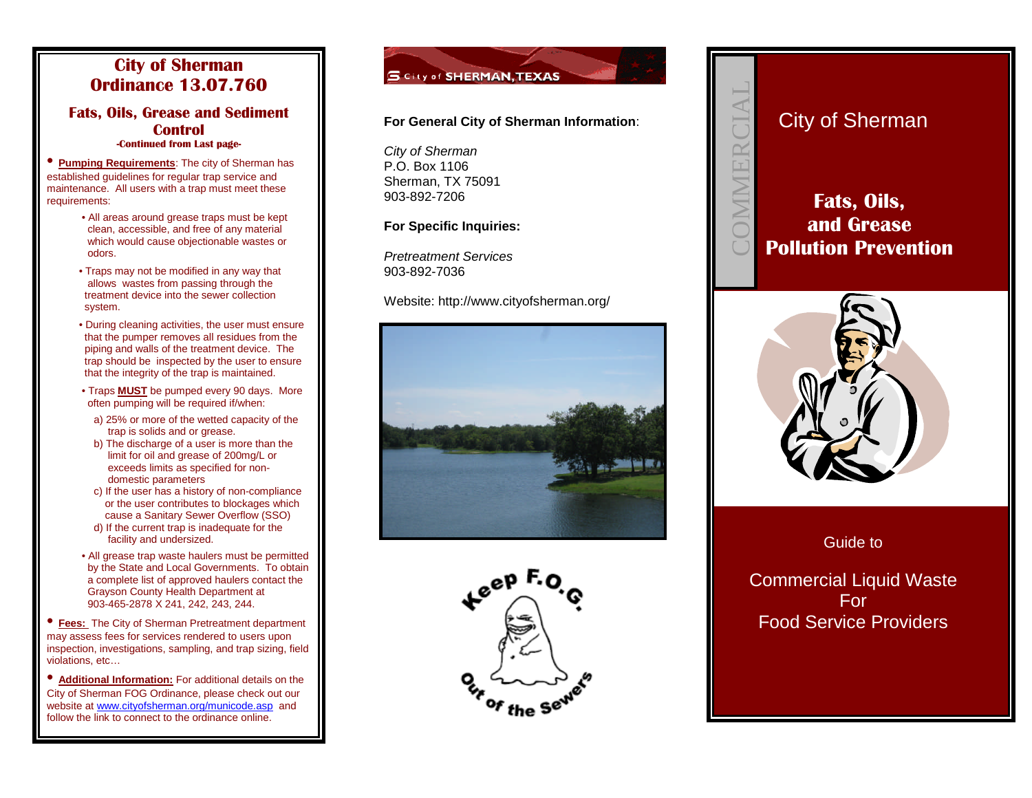### **City of Sherman Ordinance 13.07.760**

#### **Fats, Oils, Grease and Sediment Control -Continued from Last page-**

• **Pumping Requirements**: The city of Sherman has established guidelines for regular trap service and maintenance. All users with a trap must meet these requirements:

- All areas around grease traps must be kept clean, accessible, and free of any material which would cause objectionable wastes or odors.
- Traps may not be modified in any way that allows wastes from passing through the treatment device into the sewer collection system.
- During cleaning activities, the user must ensure that the pumper removes all residues from the piping and walls of the treatment device. The trap should be inspected by the user to ensure that the integrity of the trap is maintained.
- Traps **MUST** be pumped every 90 days. More often pumping will be required if/when:
	- a) 25% or more of the wetted capacity of the trap is solids and or grease.
	- b) The discharge of a user is more than the limit for oil and grease of 200mg/L or exceeds limits as specified for nondomestic parameters
	- c) If the user has a history of non-compliance or the user contributes to blockages which cause a Sanitary Sewer Overflow (SSO)
	- d) If the current trap is inadequate for the facility and undersized.
- All grease trap waste haulers must be permitted by the State and Local Governments. To obtain a complete list of approved haulers contact the Grayson County Health Department at 903-465-2878 X 241, 242, 243, 244.

• **Fees:** The City of Sherman Pretreatment department may assess fees for services rendered to users upon inspection, investigations, sampling, and trap sizing, field violations, etc…

• **Additional Information:** For additional details on the City of Sherman FOG Ordinance, please check out our website at [www.cityofsherman.org/municode.asp](http://www.cityofsherman.org/municode.asp) and follow the link to connect to the ordinance online.



### **For General City of Sherman Information**:

*City of Sherman* P.O. Box 1106 Sherman, TX 75091 903-892-7206

#### **For Specific Inquiries:**

*Pretreatment Services* 903-892-7036

Website: http://www.cityofsherman.org/







# **Fats, Oils, and Grease Pollution Prevention**

 $\bigcup$  $\bigcirc$ MM $\Box$  $\mathbb R$  $\bigcup$  $\overline{}$  $\blacktriangleleft$  $\Box$ 



### Guide to

Commercial Liquid Waste For Food Service Providers